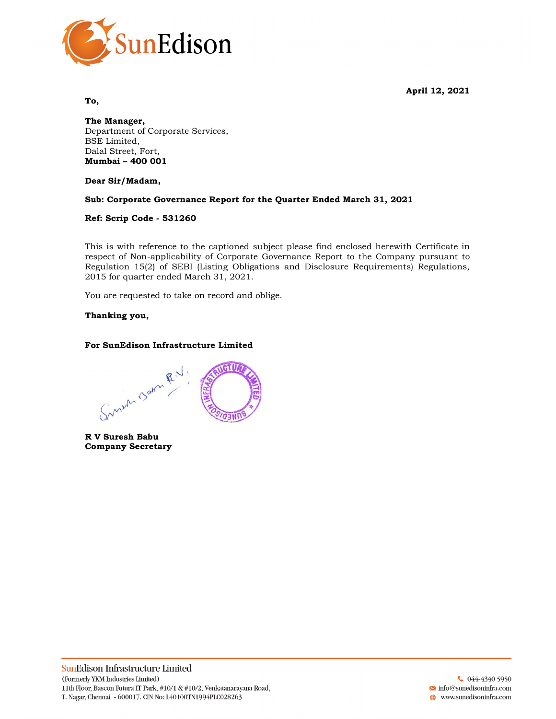April 12, 2021



To,

The Manager, Department of Corporate Services, BSE Limited, Dalal Street, Fort, Mumbai – 400 001

Dear Sir/Madam,

# Sub: Corporate Governance Report for the Quarter Ended March 31, 2021

### Ref: Scrip Code - 531260

This is with reference to the captioned subject please find enclosed herewith Certificate in respect of Non-applicability of Corporate Governance Report to the Company pursuant to Regulation 15(2) of SEBI (Listing Obligations and Disclosure Requirements) Regulations, 2015 for quarter ended March 31, 2021.

You are requested to take on record and oblige.

### Thanking you,

# For SunEdison Infrastructure Limited

Sunum Barn R.V. **CTUA** 

R V Suresh Babu Company Secretary